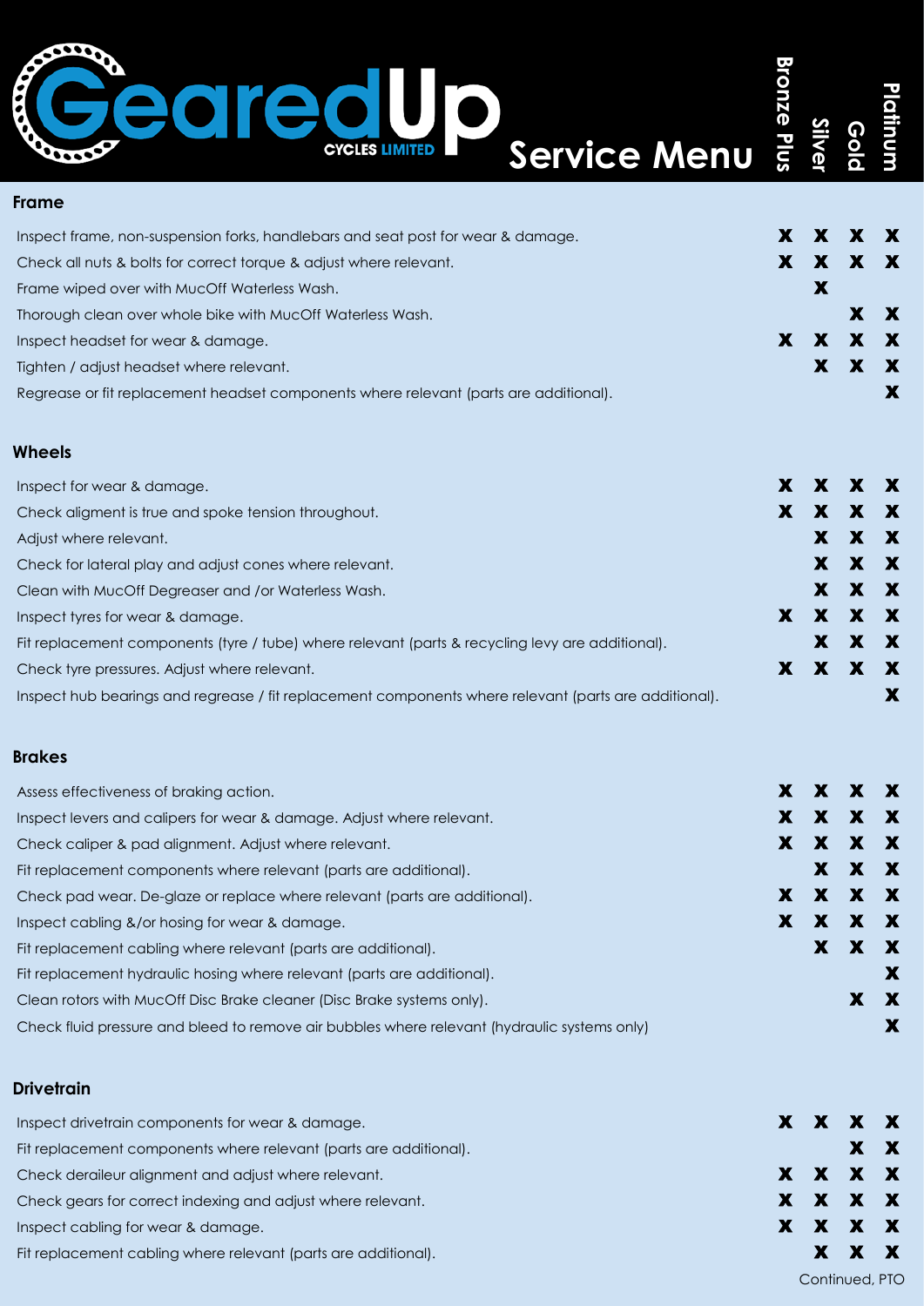## **Bronze Plus Bronze Plus** é **Platinum Silver Gold Service Menu CYCLES LIMITED Frame** Inspect frame, non-suspension forks, handlebars and seat post for wear & damage.  $X \times X \times X$ Check all nuts & bolts for correct torque & adjust where relevant.  $X = X \times X \times X$ Frame wiped over with MucOff Waterless Wash. X and the contract of the contract of the contract of the contract of the contract of the contract of the contract of the contract of the contract of the contract of the contrac Thorough clean over whole bike with MucOff Waterless Wash.  $X \times X$ Inspect headset for wear & damage. This is a set of the set of the set of the set of the set of the set of the set of the set of the set of the set of the set of the set of the set of the set of the set of the set of the s Tighten / adjust headset where relevant.  $X \times X$ Regrease or fit replacement headset components where relevant (parts are additional). **Wheels** Inspect for wear & damage. This is a structure of the structure of the structure of the structure of the structure of the structure of the structure of the structure of the structure of the structure of the structure of th Check aligment is true and spoke tension throughout.  $\mathbf{X} = \mathbf{X} \times \mathbf{X} \times \mathbf{X} \times \mathbf{X} \times \mathbf{X}$ Adjust where relevant. The contract of the contract of the contract of the contract of the contract of the contract of the contract of the contract of the contract of the contract of the contract of the contract of the con Check for lateral play and adjust cones where relevant.  $\blacksquare$

| Inspect tyres for wear & damage.                                                                      |  | X X X X |   |   |
|-------------------------------------------------------------------------------------------------------|--|---------|---|---|
| Fit replacement components (tyre / tube) where relevant (parts & recycling levy are additional).      |  |         | X | X |
| Check tyre pressures. Adjust where relevant.                                                          |  | X X X   |   |   |
| Inspect hub bearings and regrease / fit replacement components where relevant (parts are additional). |  |         |   |   |
| <b>Brakes</b>                                                                                         |  |         |   |   |

Clean with MucOff Degreaser and /or Waterless Wash. X X X

|  | X                                                                                            |
|--|----------------------------------------------------------------------------------------------|
|  |                                                                                              |
|  | X                                                                                            |
|  |                                                                                              |
|  | X X X X<br>X X<br>X X<br>X X X X<br>X X X<br>X X X X<br>X X X X<br>$\mathbf{X}$ $\mathbf{X}$ |

## **Drivetrain**

| Inspect drivetrain components for wear & damage.                  |  | X X X X |  |
|-------------------------------------------------------------------|--|---------|--|
| Fit replacement components where relevant (parts are additional). |  | XX      |  |
| Check deraileur alignment and adjust where relevant.              |  | X X X X |  |
| Check gears for correct indexing and adjust where relevant.       |  | X X X X |  |
| Inspect cabling for wear & damage.                                |  | X X X X |  |
| Fit replacement cabling where relevant (parts are additional).    |  | X X X   |  |